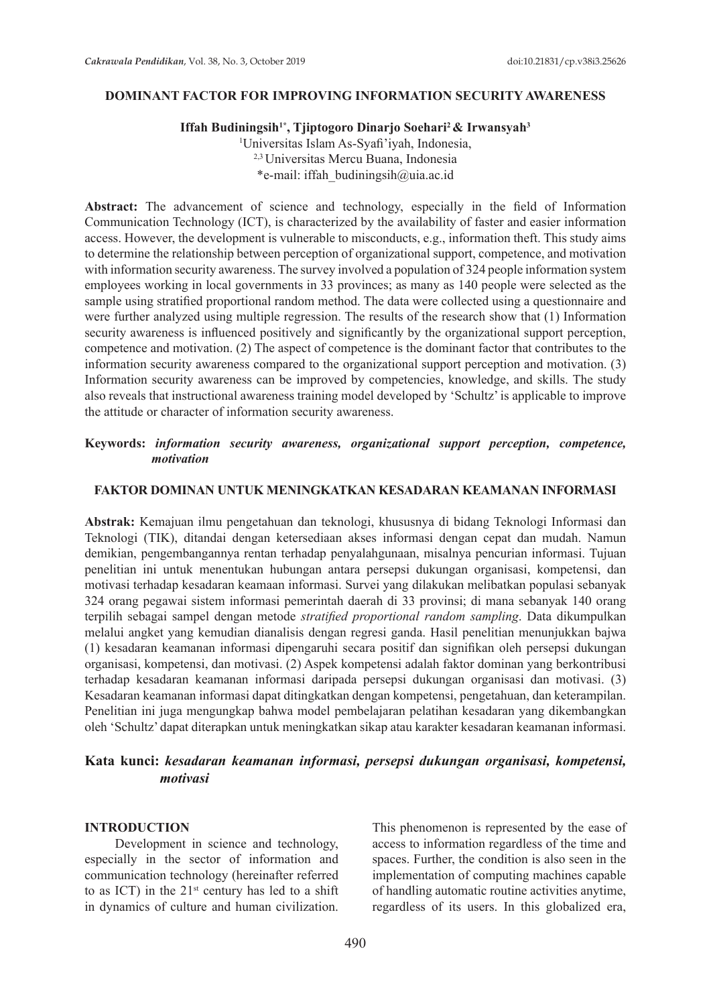#### **DOMINANT FACTOR FOR IMPROVING INFORMATION SECURITY AWARENESS**

#### **Iffah Budiningsih1\*, Tjiptogoro Dinarjo Soehari2 & Irwansyah3**

1 Universitas Islam As-Syafi'iyah, Indonesia, 2,3 Universitas Mercu Buana, Indonesia \*e-mail: iffah\_budiningsih@uia.ac.id

**Abstract:** The advancement of science and technology, especially in the field of Information Communication Technology (ICT), is characterized by the availability of faster and easier information access. However, the development is vulnerable to misconducts, e.g., information theft. This study aims to determine the relationship between perception of organizational support, competence, and motivation with information security awareness. The survey involved a population of 324 people information system employees working in local governments in 33 provinces; as many as 140 people were selected as the sample using stratified proportional random method. The data were collected using a questionnaire and were further analyzed using multiple regression. The results of the research show that (1) Information security awareness is influenced positively and significantly by the organizational support perception, competence and motivation. (2) The aspect of competence is the dominant factor that contributes to the information security awareness compared to the organizational support perception and motivation. (3) Information security awareness can be improved by competencies, knowledge, and skills. The study also reveals that instructional awareness training model developed by 'Schultz' is applicable to improve the attitude or character of information security awareness.

## **Keywords:** *information security awareness, organizational support perception, competence, motivation*

#### **FAKTOR DOMINAN UNTUK MENINGKATKAN KESADARAN KEAMANAN INFORMASI**

**Abstrak:** Kemajuan ilmu pengetahuan dan teknologi, khususnya di bidang Teknologi Informasi dan Teknologi (TIK), ditandai dengan ketersediaan akses informasi dengan cepat dan mudah. Namun demikian, pengembangannya rentan terhadap penyalahgunaan, misalnya pencurian informasi. Tujuan penelitian ini untuk menentukan hubungan antara persepsi dukungan organisasi, kompetensi, dan motivasi terhadap kesadaran keamaan informasi. Survei yang dilakukan melibatkan populasi sebanyak 324 orang pegawai sistem informasi pemerintah daerah di 33 provinsi; di mana sebanyak 140 orang terpilih sebagai sampel dengan metode *stratified proportional random sampling*. Data dikumpulkan melalui angket yang kemudian dianalisis dengan regresi ganda. Hasil penelitian menunjukkan bajwa (1) kesadaran keamanan informasi dipengaruhi secara positif dan signifikan oleh persepsi dukungan organisasi, kompetensi, dan motivasi. (2) Aspek kompetensi adalah faktor dominan yang berkontribusi terhadap kesadaran keamanan informasi daripada persepsi dukungan organisasi dan motivasi. (3) Kesadaran keamanan informasi dapat ditingkatkan dengan kompetensi, pengetahuan, dan keterampilan. Penelitian ini juga mengungkap bahwa model pembelajaran pelatihan kesadaran yang dikembangkan oleh 'Schultz' dapat diterapkan untuk meningkatkan sikap atau karakter kesadaran keamanan informasi.

## **Kata kunci:** *kesadaran keamanan informasi, persepsi dukungan organisasi, kompetensi, motivasi*

#### **INTRODUCTION**

Development in science and technology, especially in the sector of information and communication technology (hereinafter referred to as ICT) in the  $21^{st}$  century has led to a shift in dynamics of culture and human civilization. This phenomenon is represented by the ease of access to information regardless of the time and spaces. Further, the condition is also seen in the implementation of computing machines capable of handling automatic routine activities anytime, regardless of its users. In this globalized era,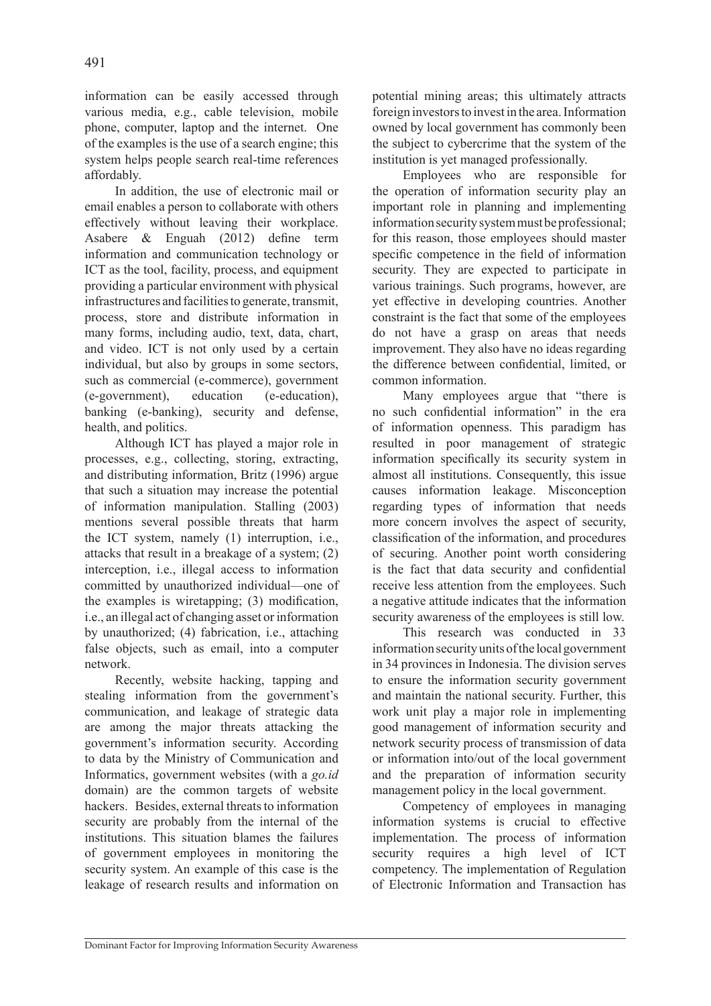information can be easily accessed through various media, e.g., cable television, mobile phone, computer, laptop and the internet. One of the examples is the use of a search engine; this system helps people search real-time references affordably.

In addition, the use of electronic mail or email enables a person to collaborate with others effectively without leaving their workplace. Asabere & Enguah (2012) define term information and communication technology or ICT as the tool, facility, process, and equipment providing a particular environment with physical infrastructures and facilities to generate, transmit, process, store and distribute information in many forms, including audio, text, data, chart, and video. ICT is not only used by a certain individual, but also by groups in some sectors, such as commercial (e-commerce), government (e-government), education (e-education), banking (e-banking), security and defense, health, and politics.

Although ICT has played a major role in processes, e.g., collecting, storing, extracting, and distributing information, Britz (1996) argue that such a situation may increase the potential of information manipulation. Stalling (2003) mentions several possible threats that harm the ICT system, namely (1) interruption, i.e., attacks that result in a breakage of a system; (2) interception, i.e., illegal access to information committed by unauthorized individual—one of the examples is wiretapping; (3) modification, i.e., an illegal act of changing asset or information by unauthorized; (4) fabrication, i.e., attaching false objects, such as email, into a computer network.

Recently, website hacking, tapping and stealing information from the government's communication, and leakage of strategic data are among the major threats attacking the government's information security. According to data by the Ministry of Communication and Informatics, government websites (with a *go.id* domain) are the common targets of website hackers. Besides, external threats to information security are probably from the internal of the institutions. This situation blames the failures of government employees in monitoring the security system. An example of this case is the leakage of research results and information on potential mining areas; this ultimately attracts foreign investors to invest in the area. Information owned by local government has commonly been the subject to cybercrime that the system of the institution is yet managed professionally.

Employees who are responsible for the operation of information security play an important role in planning and implementing information security system must be professional; for this reason, those employees should master specific competence in the field of information security. They are expected to participate in various trainings. Such programs, however, are yet effective in developing countries. Another constraint is the fact that some of the employees do not have a grasp on areas that needs improvement. They also have no ideas regarding the difference between confidential, limited, or common information.

Many employees argue that "there is no such confidential information" in the era of information openness. This paradigm has resulted in poor management of strategic information specifically its security system in almost all institutions. Consequently, this issue causes information leakage. Misconception regarding types of information that needs more concern involves the aspect of security, classification of the information, and procedures of securing. Another point worth considering is the fact that data security and confidential receive less attention from the employees. Such a negative attitude indicates that the information security awareness of the employees is still low.

This research was conducted in 33 information security units of the local government in 34 provinces in Indonesia. The division serves to ensure the information security government and maintain the national security. Further, this work unit play a major role in implementing good management of information security and network security process of transmission of data or information into/out of the local government and the preparation of information security management policy in the local government.

Competency of employees in managing information systems is crucial to effective implementation. The process of information security requires a high level of ICT competency. The implementation of Regulation of Electronic Information and Transaction has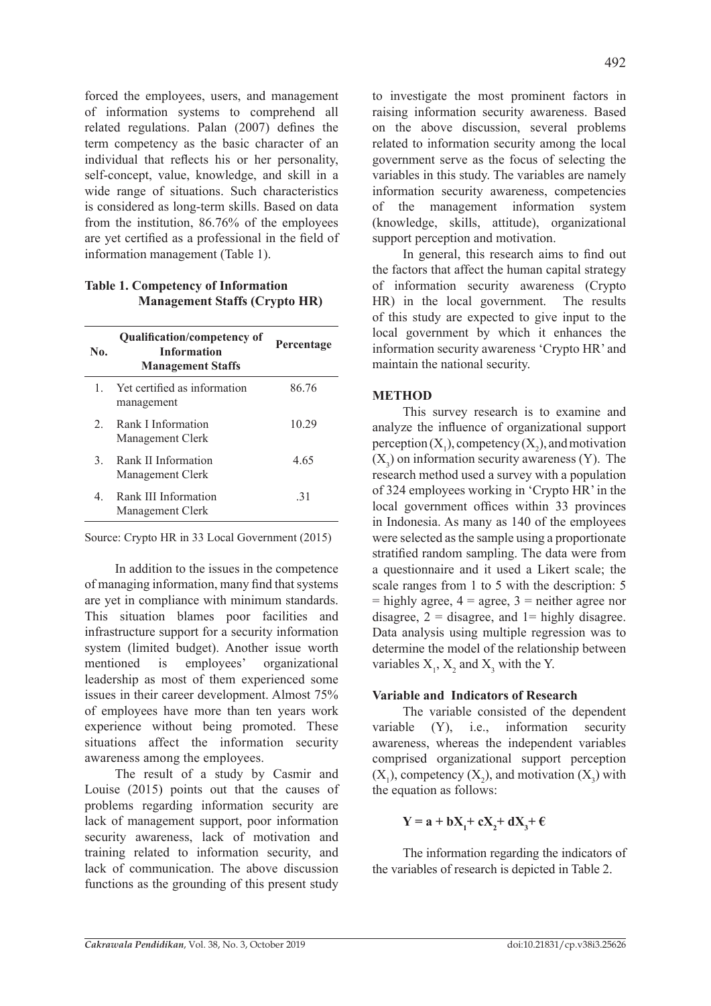forced the employees, users, and management of information systems to comprehend all related regulations. Palan (2007) defines the term competency as the basic character of an individual that reflects his or her personality, self-concept, value, knowledge, and skill in a wide range of situations. Such characteristics is considered as long-term skills. Based on data from the institution, 86.76% of the employees are yet certified as a professional in the field of information management (Table 1).

**Table 1. Competency of Information Management Staffs (Crypto HR)**

| No.         | <b>Qualification/competency of</b><br><b>Information</b><br><b>Management Staffs</b> | Percentage |
|-------------|--------------------------------------------------------------------------------------|------------|
| 1.          | Yet certified as information<br>management                                           | 86.76      |
| $2^{\circ}$ | Rank I Information<br>Management Clerk                                               | 10.29      |
| 3           | Rank II Information<br>Management Clerk                                              | 4.65       |
| 4           | Rank III Information<br>Management Clerk                                             | -31        |

Source: Crypto HR in 33 Local Government (2015)

In addition to the issues in the competence of managing information, many find that systems are yet in compliance with minimum standards. This situation blames poor facilities and infrastructure support for a security information system (limited budget). Another issue worth mentioned is employees' organizational leadership as most of them experienced some issues in their career development. Almost 75% of employees have more than ten years work experience without being promoted. These situations affect the information security awareness among the employees.

The result of a study by Casmir and Louise (2015) points out that the causes of problems regarding information security are lack of management support, poor information security awareness, lack of motivation and training related to information security, and lack of communication. The above discussion functions as the grounding of this present study to investigate the most prominent factors in raising information security awareness. Based on the above discussion, several problems related to information security among the local government serve as the focus of selecting the variables in this study. The variables are namely information security awareness, competencies of the management information system (knowledge, skills, attitude), organizational support perception and motivation.

In general, this research aims to find out the factors that affect the human capital strategy of information security awareness (Crypto HR) in the local government. The results of this study are expected to give input to the local government by which it enhances the information security awareness 'Crypto HR' and maintain the national security.

## **METHOD**

This survey research is to examine and analyze the influence of organizational support perception  $(X_1)$ , competency  $(X_2)$ , and motivation  $(X_3)$  on information security awareness  $(Y)$ . The research method used a survey with a population of 324 employees working in 'Crypto HR' in the local government offices within 33 provinces in Indonesia. As many as 140 of the employees were selected as the sample using a proportionate stratified random sampling. The data were from a questionnaire and it used a Likert scale; the scale ranges from 1 to 5 with the description: 5  $=$  highly agree,  $4 =$  agree,  $3 =$  neither agree nor disagree,  $2 =$  disagree, and  $1 =$  highly disagree. Data analysis using multiple regression was to determine the model of the relationship between variables  $X_1$ ,  $X_2$  and  $X_3$  with the Y.

### **Variable and Indicators of Research**

The variable consisted of the dependent variable (Y), i.e., information security awareness, whereas the independent variables comprised organizational support perception  $(X_1)$ , competency  $(X_2)$ , and motivation  $(X_3)$  with the equation as follows:

$$
Y = a + bX_1 + cX_2 + dX_3 + \varepsilon
$$

The information regarding the indicators of the variables of research is depicted in Table 2.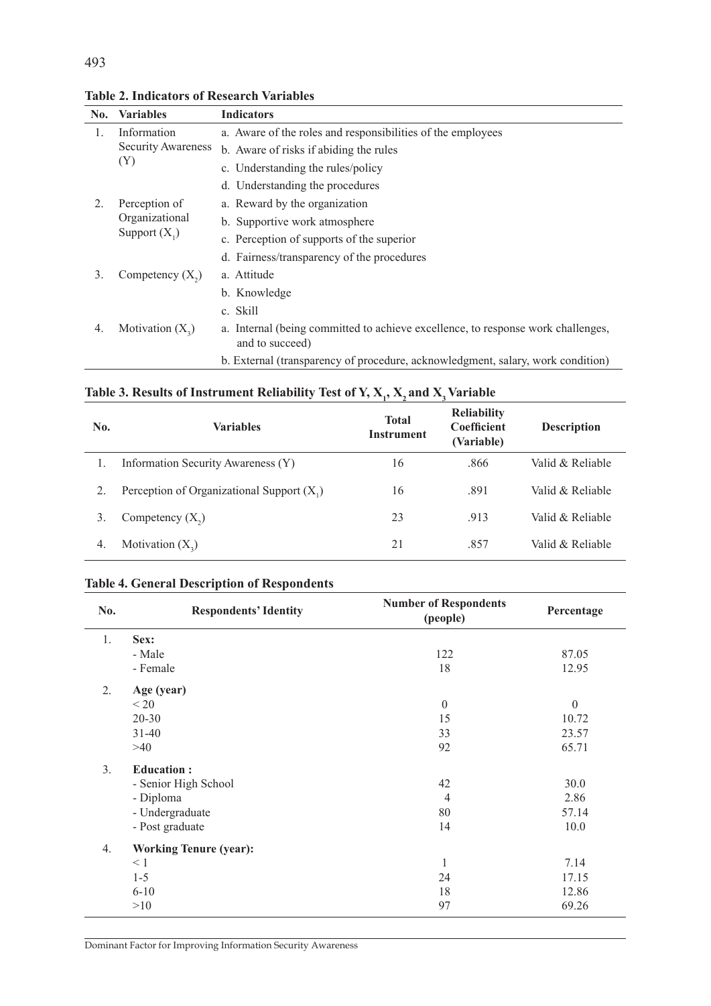| No.            | <b>Variables</b>                  | <b>Indicators</b>                                                                                      |
|----------------|-----------------------------------|--------------------------------------------------------------------------------------------------------|
| $\mathbf{1}$ . | Information                       | a. Aware of the roles and responsibilities of the employees                                            |
|                | <b>Security Awareness</b><br>(Y)  | b. Aware of risks if abiding the rules                                                                 |
|                |                                   | c. Understanding the rules/policy                                                                      |
|                |                                   | d. Understanding the procedures                                                                        |
| 2.             | Perception of                     | a. Reward by the organization                                                                          |
|                | Organizational<br>Support $(X_1)$ | b. Supportive work atmosphere                                                                          |
|                |                                   | c. Perception of supports of the superior                                                              |
|                |                                   | d. Fairness/transparency of the procedures                                                             |
| 3.             | Competency $(X_2)$                | a. Attitude                                                                                            |
|                |                                   | b. Knowledge                                                                                           |
|                |                                   | c. Skill                                                                                               |
| 4.             | Motivation $(X_2)$                | Internal (being committed to achieve excellence, to response work challenges,<br>a.<br>and to succeed) |
|                |                                   | b. External (transparency of procedure, acknowledgment, salary, work condition)                        |

**Table 2. Indicators of Research Variables**

| Table 3. Results of Instrument Reliability Test of Y, $X_1$ , $X_2$ and $X_3$ Variable |
|----------------------------------------------------------------------------------------|
|----------------------------------------------------------------------------------------|

| No. | <b>Variables</b>                             | <b>Total</b><br><b>Instrument</b> | <b>Reliability</b><br>Coefficient<br>(Variable) | <b>Description</b> |
|-----|----------------------------------------------|-----------------------------------|-------------------------------------------------|--------------------|
|     | Information Security Awareness (Y)           | 16                                | .866                                            | Valid & Reliable   |
|     | Perception of Organizational Support $(X_1)$ | 16                                | .891                                            | Valid & Reliable   |
|     | Competency $(X_2)$                           | 23                                | .913                                            | Valid & Reliable   |
|     | Motivation $(X_2)$                           | 21                                | .857                                            | Valid & Reliable   |

# **Table 4. General Description of Respondents**

| No.            | <b>Respondents' Identity</b>  | <b>Number of Respondents</b><br>(people)                                                            | Percentage   |
|----------------|-------------------------------|-----------------------------------------------------------------------------------------------------|--------------|
| 1.             | Sex:                          |                                                                                                     |              |
|                | - Male                        | 122                                                                                                 | 87.05        |
|                | - Female                      | 18<br>$\boldsymbol{0}$<br>15<br>33<br>92<br>42<br>$\overline{4}$<br>80<br>14<br>1<br>24<br>18<br>97 | 12.95        |
| 2.             | Age (year)                    |                                                                                                     |              |
|                | < 20                          |                                                                                                     | $\mathbf{0}$ |
|                | $20 - 30$                     |                                                                                                     | 10.72        |
|                | $31 - 40$                     |                                                                                                     | 23.57        |
|                | >40                           |                                                                                                     | 65.71        |
| 3 <sub>1</sub> | <b>Education:</b>             |                                                                                                     |              |
|                | - Senior High School          |                                                                                                     | 30.0         |
|                | - Diploma                     |                                                                                                     | 2.86         |
|                | - Undergraduate               |                                                                                                     | 57.14        |
|                | - Post graduate               |                                                                                                     | 10.0         |
| 4.             | <b>Working Tenure (year):</b> |                                                                                                     |              |
|                | $\leq 1$                      |                                                                                                     | 7.14         |
|                | $1 - 5$                       |                                                                                                     | 17.15        |
|                | $6 - 10$                      |                                                                                                     | 12.86        |
|                | >10                           |                                                                                                     | 69.26        |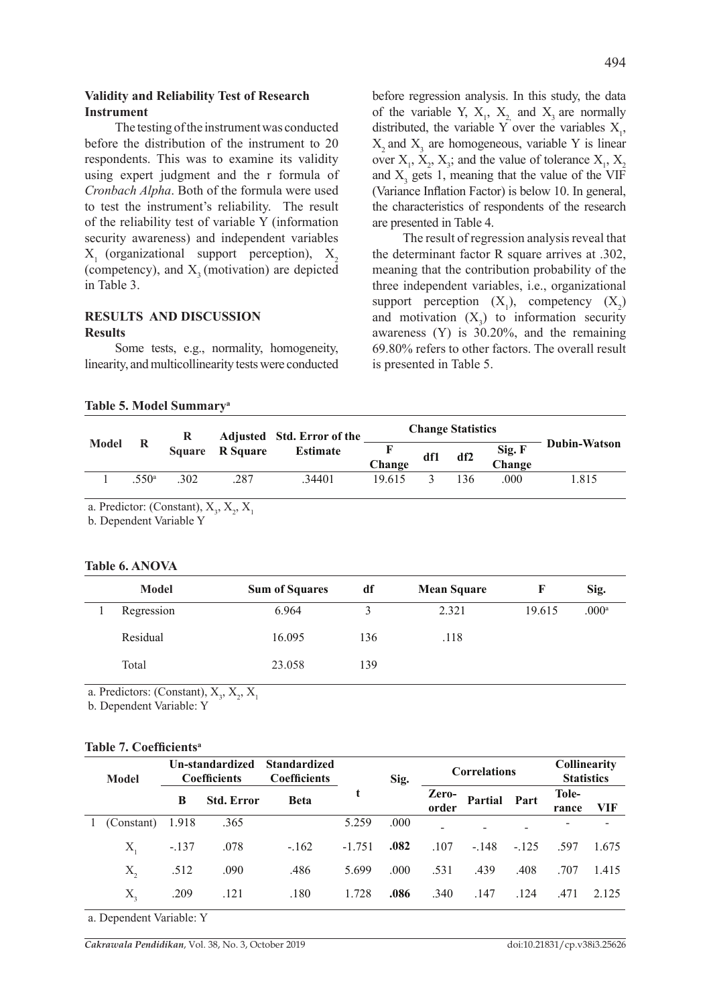#### **Validity and Reliability Test of Research Instrument**

The testing of the instrument was conducted before the distribution of the instrument to 20 respondents. This was to examine its validity using expert judgment and the r formula of *Cronbach Alpha*. Both of the formula were used to test the instrument's reliability. The result of the reliability test of variable Y (information security awareness) and independent variables  $X_1$  (organizational support perception),  $X_2$ (competency), and  $X<sub>3</sub>$  (motivation) are depicted in Table 3.

### **RESULTS AND DISCUSSION Results**

Some tests, e.g., normality, homogeneity, linearity, and multicollinearity tests were conducted before regression analysis. In this study, the data of the variable Y,  $X_1$ ,  $X_2$  and  $X_3$  are normally distributed, the variable Y over the variables  $X_1$ ,  $X_2$  and  $X_3$  are homogeneous, variable Y is linear over  $X_1$ ,  $X_2$ ,  $X_3$ ; and the value of tolerance  $X_1$ ,  $X_2$ and  $X_3$  gets 1, meaning that the value of the VIF (Variance Inflation Factor) is below 10. In general, the characteristics of respondents of the research are presented in Table 4.

The result of regression analysis reveal that the determinant factor R square arrives at .302, meaning that the contribution probability of the three independent variables, i.e., organizational support perception  $(X_1)$ , competency  $(X_2)$ and motivation  $(X_3)$  to information security awareness (Y) is 30.20%, and the remaining 69.80% refers to other factors. The overall result is presented in Table 5.

|              |               |               |                 | Adjusted Std. Error of the |        |     | <b>Change Statistics</b> |                  |              |
|--------------|---------------|---------------|-----------------|----------------------------|--------|-----|--------------------------|------------------|--------------|
| <b>Model</b> | R             | <b>Square</b> | <b>R</b> Square | <b>Estimate</b>            | Change | df1 | df2                      | Sig. F<br>Change | Dubin-Watson |
|              | $550^{\circ}$ | .302          | .287            | .34401                     | 19.615 |     | 136                      | .000             | .815         |

a. Predictor: (Constant),  $X_3$ ,  $X_2$ ,  $X_1$ 

b. Dependent Variable Y

### **Table 6. ANOVA**

| Model      | <b>Sum of Squares</b> | df  | <b>Mean Square</b> |        | Sig.              |
|------------|-----------------------|-----|--------------------|--------|-------------------|
| Regression | 6.964                 |     | 2.321              | 19.615 | .000 <sup>a</sup> |
| Residual   | 16.095                | 136 | .118               |        |                   |
| Total      | 23.058                | 139 |                    |        |                   |

a. Predictors: (Constant),  $X_3$ ,  $X_2$ ,  $X_1$ 

b. Dependent Variable: Y

### **Table 7. Coefficients<sup>a</sup>**

| <b>Model</b>               |         | Un-standardized<br><b>Coefficients</b> | <b>Standardized</b><br><b>Coefficients</b> |          | Sig. |                | <b>Correlations</b> |        | Collinearity<br><b>Statistics</b> |       |
|----------------------------|---------|----------------------------------------|--------------------------------------------|----------|------|----------------|---------------------|--------|-----------------------------------|-------|
|                            | B       | <b>Std. Error</b>                      | <b>Beta</b>                                |          |      | Zero-<br>order | Partial Part        |        | Tole-<br>rance                    | VIF   |
| $(Constant)$ 1.918         |         | .365                                   |                                            | 5.259    | .000 |                |                     |        |                                   |       |
| $X_{i}$                    | $-.137$ | .078                                   | $-162$                                     | $-1.751$ | .082 | .107           | $-148$              | $-125$ | .597                              | 1.675 |
| X,                         | .512    | .090                                   | .486                                       | 5.699    | .000 | .531           | .439                | .408   | .707                              | 1.415 |
| $X_{\scriptscriptstyle 2}$ | .209    | .121                                   | .180                                       | 1.728    | .086 | .340           | .147                | .124   | .471                              | 2.125 |

a. Dependent Variable: Y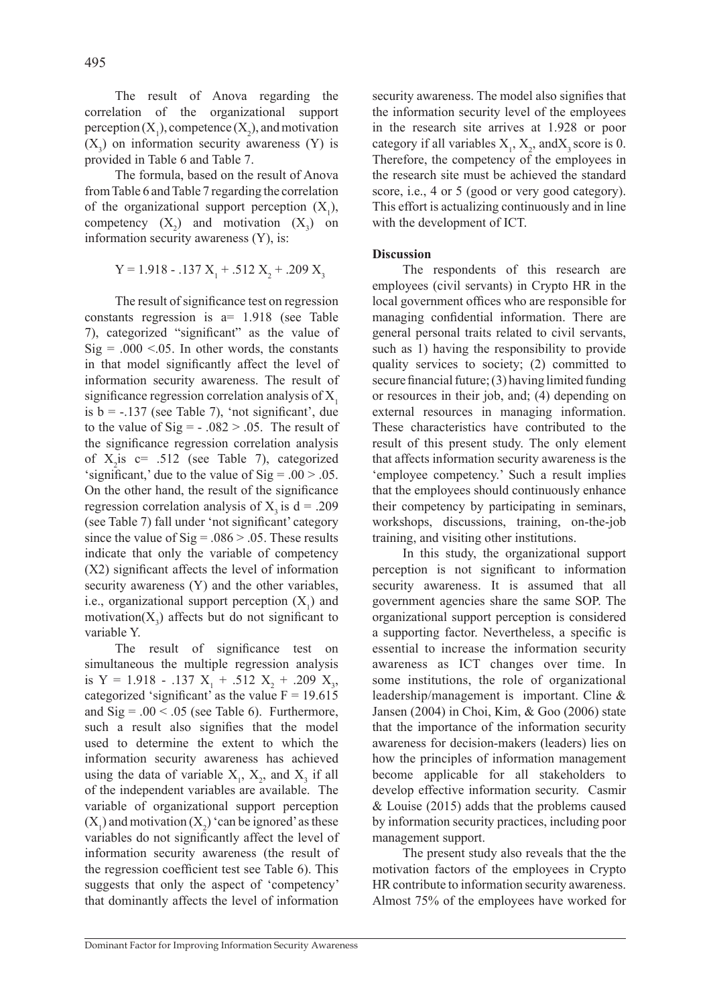The result of Anova regarding the correlation of the organizational support perception  $(X_1)$ , competence  $(X_2)$ , and motivation  $(X_3)$  on information security awareness  $(Y)$  is provided in Table 6 and Table 7.

The formula, based on the result of Anova from Table 6 and Table 7 regarding the correlation of the organizational support perception  $(X_1)$ , competency  $(X_2)$  and motivation  $(X_3)$  on information security awareness (Y), is:

$$
Y = 1.918 - .137 X_1 + .512 X_2 + .209 X_3
$$

The result of significance test on regression constants regression is a= 1.918 (see Table 7), categorized "significant" as the value of  $Sig = .000$  <.05. In other words, the constants in that model significantly affect the level of information security awareness. The result of significance regression correlation analysis of  $X$ . is  $b = -0.137$  (see Table 7), 'not significant', due to the value of  $\text{Sig} = -0.082 > 0.05$ . The result of the significance regression correlation analysis of  $X_2$  is  $c = .512$  (see Table 7), categorized 'significant,' due to the value of  $Sig = .00 > .05$ . On the other hand, the result of the significance regression correlation analysis of  $X$ <sub>s</sub> is  $d = .209$ (see Table 7) fall under 'not significant' category since the value of  $Sig = .086 > .05$ . These results indicate that only the variable of competency (X2) significant affects the level of information security awareness (Y) and the other variables, i.e., organizational support perception  $(X_1)$  and motivation( $X_3$ ) affects but do not significant to variable Y.

The result of significance test on simultaneous the multiple regression analysis is Y = 1.918 - .137  $X_1 + .512 X_2 + .209 X_3$ , categorized 'significant' as the value  $F = 19.615$ and  $Sig = .00 < .05$  (see Table 6). Furthermore, such a result also signifies that the model used to determine the extent to which the information security awareness has achieved using the data of variable  $X_1$ ,  $X_2$ , and  $X_3$  if all of the independent variables are available. The variable of organizational support perception  $(X_1)$  and motivation  $(X_2)$  'can be ignored' as these variables do not significantly affect the level of information security awareness (the result of the regression coefficient test see Table 6). This suggests that only the aspect of 'competency' that dominantly affects the level of information

security awareness. The model also signifies that the information security level of the employees in the research site arrives at 1.928 or poor category if all variables  $X_1$ ,  $X_2$ , and  $X_3$  score is 0. Therefore, the competency of the employees in the research site must be achieved the standard score, i.e., 4 or 5 (good or very good category). This effort is actualizing continuously and in line with the development of ICT.

### **Discussion**

The respondents of this research are employees (civil servants) in Crypto HR in the local government offices who are responsible for managing confidential information. There are general personal traits related to civil servants, such as 1) having the responsibility to provide quality services to society; (2) committed to secure financial future; (3) having limited funding or resources in their job, and; (4) depending on external resources in managing information. These characteristics have contributed to the result of this present study. The only element that affects information security awareness is the 'employee competency.' Such a result implies that the employees should continuously enhance their competency by participating in seminars, workshops, discussions, training, on-the-job training, and visiting other institutions.

In this study, the organizational support perception is not significant to information security awareness. It is assumed that all government agencies share the same SOP. The organizational support perception is considered a supporting factor. Nevertheless, a specific is essential to increase the information security awareness as ICT changes over time. In some institutions, the role of organizational leadership/management is important. Cline & Jansen (2004) in Choi, Kim, & Goo (2006) state that the importance of the information security awareness for decision-makers (leaders) lies on how the principles of information management become applicable for all stakeholders to develop effective information security. Casmir & Louise (2015) adds that the problems caused by information security practices, including poor management support.

The present study also reveals that the the motivation factors of the employees in Crypto HR contribute to information security awareness. Almost 75% of the employees have worked for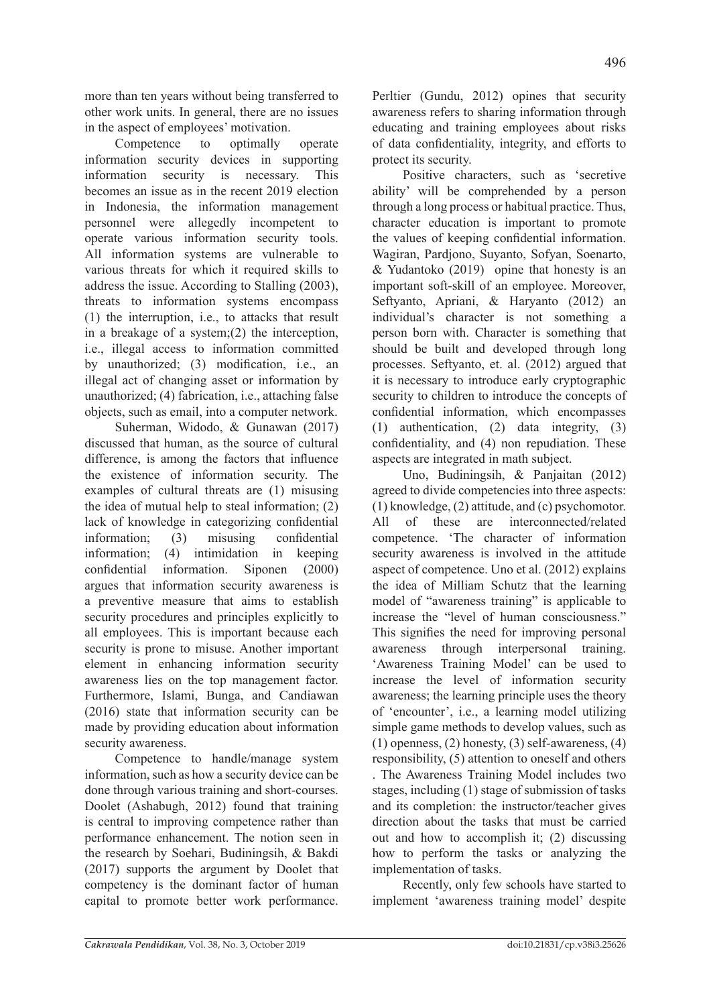more than ten years without being transferred to other work units. In general, there are no issues in the aspect of employees' motivation.

Competence to optimally operate information security devices in supporting information security is necessary. This becomes an issue as in the recent 2019 election in Indonesia, the information management personnel were allegedly incompetent to operate various information security tools. All information systems are vulnerable to various threats for which it required skills to address the issue. According to Stalling (2003), threats to information systems encompass (1) the interruption, i.e., to attacks that result in a breakage of a system;(2) the interception, i.e., illegal access to information committed by unauthorized; (3) modification, i.e., an illegal act of changing asset or information by unauthorized; (4) fabrication, i.e., attaching false objects, such as email, into a computer network.

Suherman, Widodo, & Gunawan (2017) discussed that human, as the source of cultural difference, is among the factors that influence the existence of information security. The examples of cultural threats are (1) misusing the idea of mutual help to steal information; (2) lack of knowledge in categorizing confidential information; (3) misusing confidential information; (4) intimidation in keeping confidential information. Siponen (2000) argues that information security awareness is a preventive measure that aims to establish security procedures and principles explicitly to all employees. This is important because each security is prone to misuse. Another important element in enhancing information security awareness lies on the top management factor. Furthermore, Islami, Bunga, and Candiawan (2016) state that information security can be made by providing education about information security awareness.

Competence to handle/manage system information, such as how a security device can be done through various training and short-courses. Doolet (Ashabugh, 2012) found that training is central to improving competence rather than performance enhancement. The notion seen in the research by Soehari, Budiningsih, & Bakdi (2017) supports the argument by Doolet that competency is the dominant factor of human capital to promote better work performance. Perltier (Gundu, 2012) opines that security awareness refers to sharing information through educating and training employees about risks of data confidentiality, integrity, and efforts to protect its security.

Positive characters, such as 'secretive ability' will be comprehended by a person through a long process or habitual practice. Thus, character education is important to promote the values of keeping confidential information. Wagiran, Pardjono, Suyanto, Sofyan, Soenarto, & Yudantoko (2019) opine that honesty is an important soft-skill of an employee. Moreover, Seftyanto, Apriani, & Haryanto (2012) an individual's character is not something a person born with. Character is something that should be built and developed through long processes. Seftyanto, et. al. (2012) argued that it is necessary to introduce early cryptographic security to children to introduce the concepts of confidential information, which encompasses (1) authentication, (2) data integrity, (3) confidentiality, and (4) non repudiation. These aspects are integrated in math subject.

Uno, Budiningsih, & Panjaitan (2012) agreed to divide competencies into three aspects: (1) knowledge, (2) attitude, and (c) psychomotor. All of these are interconnected/related competence. 'The character of information security awareness is involved in the attitude aspect of competence. Uno et al. (2012) explains the idea of Milliam Schutz that the learning model of "awareness training" is applicable to increase the "level of human consciousness." This signifies the need for improving personal awareness through interpersonal training. 'Awareness Training Model' can be used to increase the level of information security awareness; the learning principle uses the theory of 'encounter', i.e., a learning model utilizing simple game methods to develop values, such as (1) openness, (2) honesty, (3) self-awareness, (4) responsibility, (5) attention to oneself and others . The Awareness Training Model includes two stages, including (1) stage of submission of tasks and its completion: the instructor/teacher gives direction about the tasks that must be carried out and how to accomplish it; (2) discussing how to perform the tasks or analyzing the implementation of tasks.

Recently, only few schools have started to implement 'awareness training model' despite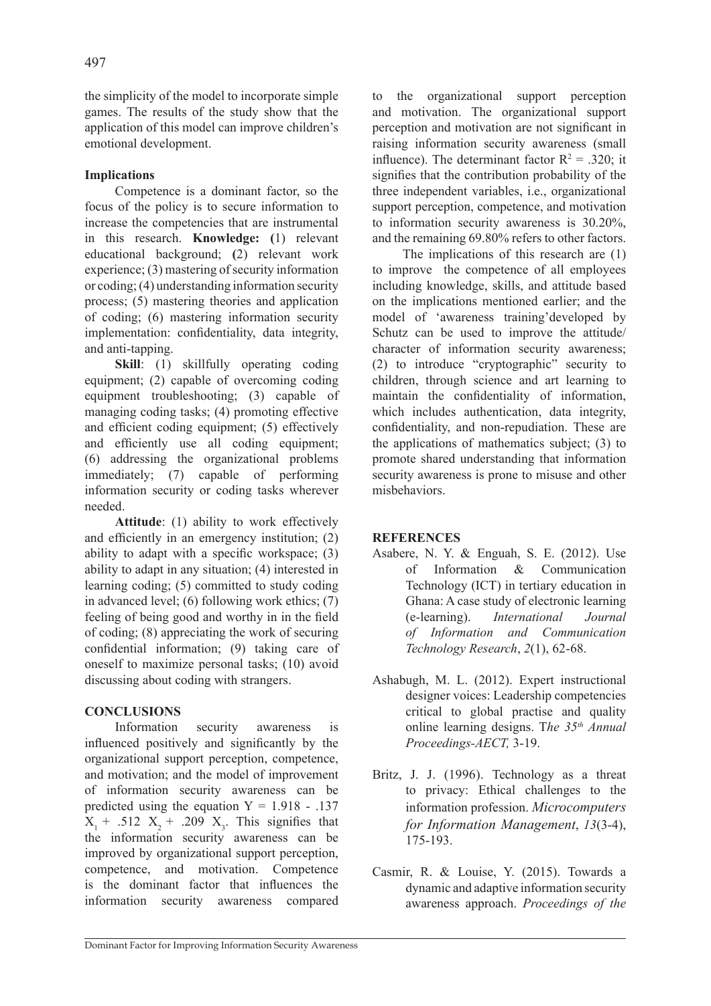the simplicity of the model to incorporate simple games. The results of the study show that the application of this model can improve children's emotional development.

## **Implications**

Competence is a dominant factor, so the focus of the policy is to secure information to increase the competencies that are instrumental in this research. **Knowledge: (**1) relevant educational background; **(**2) relevant work experience; (3) mastering of security information or coding; (4) understanding information security process; (5) mastering theories and application of coding; (6) mastering information security implementation: confidentiality, data integrity, and anti-tapping.

**Skill**: (1) skillfully operating coding equipment; (2) capable of overcoming coding equipment troubleshooting; (3) capable of managing coding tasks; (4) promoting effective and efficient coding equipment; (5) effectively and efficiently use all coding equipment; (6) addressing the organizational problems immediately; (7) capable of performing information security or coding tasks wherever needed.

**Attitude**: (1) ability to work effectively and efficiently in an emergency institution; (2) ability to adapt with a specific workspace; (3) ability to adapt in any situation; (4) interested in learning coding; (5) committed to study coding in advanced level; (6) following work ethics; (7) feeling of being good and worthy in in the field of coding; (8) appreciating the work of securing confidential information; (9) taking care of oneself to maximize personal tasks; (10) avoid discussing about coding with strangers.

# **CONCLUSIONS**

Information security awareness is influenced positively and significantly by the organizational support perception, competence, and motivation; and the model of improvement of information security awareness can be predicted using the equation  $Y = 1.918 - .137$  $X_1 + .512 \tX_2 + .209 \tX_3$ . This signifies that the information security awareness can be improved by organizational support perception, competence, and motivation. Competence is the dominant factor that influences the information security awareness compared

to the organizational support perception and motivation. The organizational support perception and motivation are not significant in raising information security awareness (small influence). The determinant factor  $R^2 = .320$ ; it signifies that the contribution probability of the three independent variables, i.e., organizational support perception, competence, and motivation to information security awareness is 30.20%, and the remaining 69.80% refers to other factors.

The implications of this research are (1) to improve the competence of all employees including knowledge, skills, and attitude based on the implications mentioned earlier; and the model of 'awareness training'developed by Schutz can be used to improve the attitude/ character of information security awareness; (2) to introduce "cryptographic" security to children, through science and art learning to maintain the confidentiality of information, which includes authentication, data integrity, confidentiality, and non-repudiation. These are the applications of mathematics subject; (3) to promote shared understanding that information security awareness is prone to misuse and other misbehaviors.

## **REFERENCES**

- Asabere, N. Y. & Enguah, S. E. (2012). Use of Information & Communication Technology (ICT) in tertiary education in Ghana: A case study of electronic learning (e-learning). *International Journal of Information and Communication Technology Research*, *2*(1), 62-68.
- Ashabugh, M. L. (2012). Expert instructional designer voices: Leadership competencies critical to global practise and quality online learning designs. T*he 35th Annual Proceedings-AECT,* 3-19.
- Britz, J. J. (1996). Technology as a threat to privacy: Ethical challenges to the information profession. *Microcomputers for Information Management*, *13*(3-4), 175-193.
- Casmir, R. & Louise, Y. (2015). Towards a dynamic and adaptive information security awareness approach. *Proceedings of the*